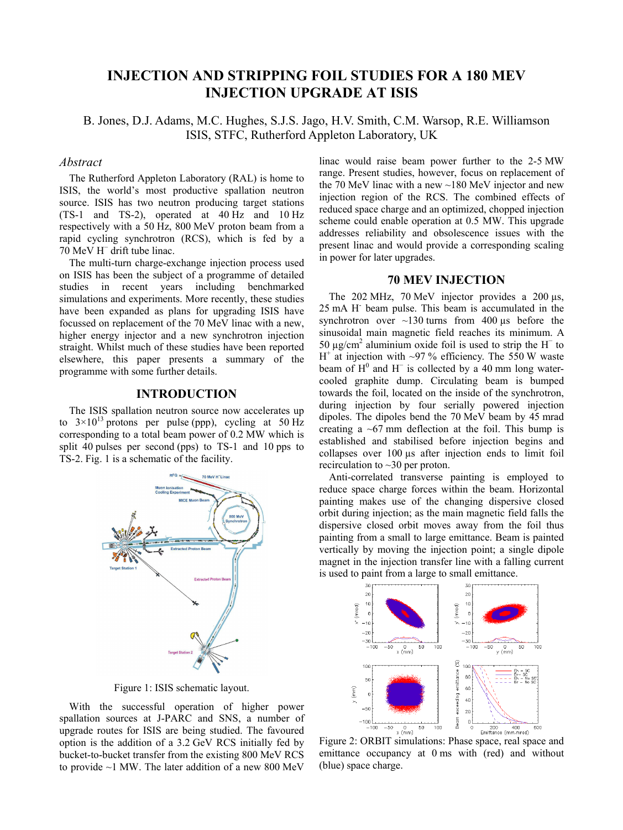# **INJECTION AND STRIPPING FOIL STUDIES FOR A 180 MEV INJECTION UPGRADE AT ISIS**

B. Jones, D.J. Adams, M.C. Hughes, S.J.S. Jago, H.V. Smith, C.M. Warsop, R.E. Williamson ISIS, STFC, Rutherford Appleton Laboratory, UK

### *Abstract*

The Rutherford Appleton Laboratory (RAL) is home to ISIS, the world's most productive spallation neutron source. ISIS has two neutron producing target stations (TS-1 and TS-2), operated at 40 Hz and 10 Hz respectively with a 50 Hz, 800 MeV proton beam from a rapid cycling synchrotron (RCS), which is fed by a 70 MeV H<sup>−</sup> drift tube linac.

The multi-turn charge-exchange injection process used on ISIS has been the subject of a programme of detailed studies in recent years including benchmarked simulations and experiments. More recently, these studies have been expanded as plans for upgrading ISIS have focussed on replacement of the 70 MeV linac with a new, higher energy injector and a new synchrotron injection straight. Whilst much of these studies have been reported elsewhere, this paper presents a summary of the programme with some further details.

# **INTRODUCTION**

The ISIS spallation neutron source now accelerates up to  $3 \times 10^{13}$  protons per pulse (ppp), cycling at 50 Hz corresponding to a total beam power of 0.2 MW which is split 40 pulses per second (pps) to TS-1 and 10 pps to TS-2. Fig. 1 is a schematic of the facility.



Figure 1: ISIS schematic layout.

With the successful operation of higher power spallation sources at J-PARC and SNS, a number of upgrade routes for ISIS are being studied. The favoured option is the addition of a 3.2 GeV RCS initially fed by bucket-to-bucket transfer from the existing 800 MeV RCS to provide ~1 MW. The later addition of a new 800 MeV

linac would raise beam power further to the 2-5 MW range. Present studies, however, focus on replacement of the 70 MeV linac with a new  $\sim$ 180 MeV injector and new injection region of the RCS. The combined effects of reduced space charge and an optimized, chopped injection scheme could enable operation at 0.5 MW. This upgrade addresses reliability and obsolescence issues with the present linac and would provide a corresponding scaling in power for later upgrades.

### **70 MEV INJECTION**

The 202 MHz, 70 MeV injector provides a 200  $\mu$ s, 25 mA H- beam pulse. This beam is accumulated in the synchrotron over  $\sim$ 130 turns from 400  $\mu$ s before the sinusoidal main magnetic field reaches its minimum. A 50 μg/cm<sup>2</sup> aluminium oxide foil is used to strip the H<sup>-</sup> to  $H^+$  at injection with ~97 % efficiency. The 550 W waste beam of  $H^0$  and  $H^-$  is collected by a 40 mm long watercooled graphite dump. Circulating beam is bumped towards the foil, located on the inside of the synchrotron, during injection by four serially powered injection dipoles. The dipoles bend the 70 MeV beam by 45 mrad creating a  $\sim 67$  mm deflection at the foil. This bump is established and stabilised before injection begins and collapses over 100 µs after injection ends to limit foil recirculation to ~30 per proton.

Anti-correlated transverse painting is employed to reduce space charge forces within the beam. Horizontal painting makes use of the changing dispersive closed orbit during injection; as the main magnetic field falls the dispersive closed orbit moves away from the foil thus painting from a small to large emittance. Beam is painted vertically by moving the injection point; a single dipole magnet in the injection transfer line with a falling current is used to paint from a large to small emittance.



Figure 2: ORBIT simulations: Phase space, real space and emittance occupancy at 0 ms with (red) and without (blue) space charge.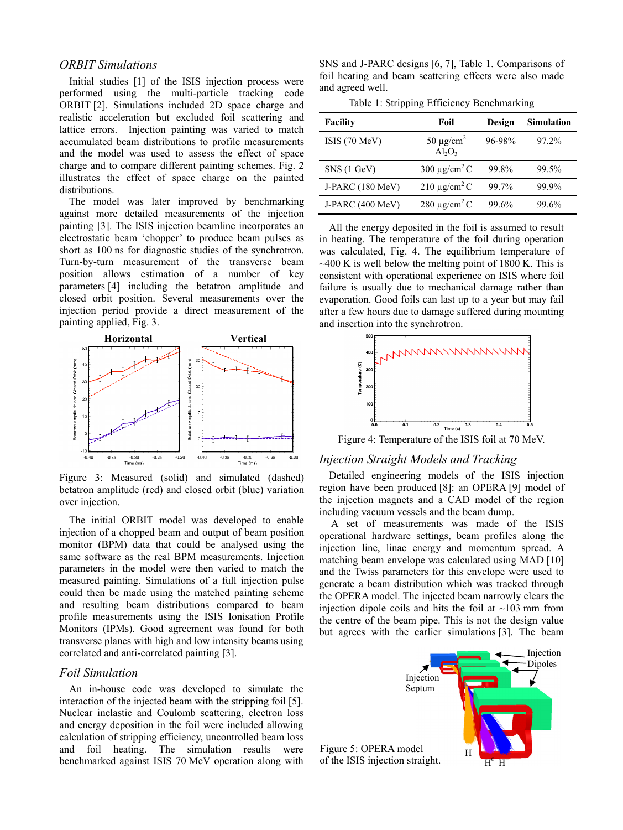# *ORBIT Simulations*

Initial studies [1] of the ISIS injection process were performed using the multi-particle tracking code ORBIT [2]. Simulations included 2D space charge and realistic acceleration but excluded foil scattering and lattice errors. Injection painting was varied to match accumulated beam distributions to profile measurements and the model was used to assess the effect of space charge and to compare different painting schemes. Fig. 2 illustrates the effect of space charge on the painted distributions.

The model was later improved by benchmarking against more detailed measurements of the injection painting [3]. The ISIS injection beamline incorporates an electrostatic beam 'chopper' to produce beam pulses as short as 100 ns for diagnostic studies of the synchrotron. Turn-by-turn measurement of the transverse beam position allows estimation of a number of key parameters [4] including the betatron amplitude and closed orbit position. Several measurements over the injection period provide a direct measurement of the painting applied, Fig. 3.



Figure 3: Measured (solid) and simulated (dashed) betatron amplitude (red) and closed orbit (blue) variation over injection.

The initial ORBIT model was developed to enable injection of a chopped beam and output of beam position monitor (BPM) data that could be analysed using the same software as the real BPM measurements. Injection parameters in the model were then varied to match the measured painting. Simulations of a full injection pulse could then be made using the matched painting scheme and resulting beam distributions compared to beam profile measurements using the ISIS Ionisation Profile Monitors (IPMs). Good agreement was found for both transverse planes with high and low intensity beams using correlated and anti-correlated painting [3].

### *Foil Simulation*

An in-house code was developed to simulate the interaction of the injected beam with the stripping foil [5]. Nuclear inelastic and Coulomb scattering, electron loss and energy deposition in the foil were included allowing calculation of stripping efficiency, uncontrolled beam loss and foil heating. The simulation results were benchmarked against ISIS 70 MeV operation along with

SNS and J-PARC designs [6, 7], Table 1. Comparisons of foil heating and beam scattering effects were also made and agreed well.

Table 1: Stripping Efficiency Benchmarking

| <b>Facility</b>  | Foil                                    | Design | <b>Simulation</b> |
|------------------|-----------------------------------------|--------|-------------------|
| ISIS (70 MeV)    | 50 $\mu$ g/cm <sup>2</sup><br>$Al_2O_3$ | 96-98% | 97.2%             |
| SNS (1 GeV)      | 300 $\mu$ g/cm <sup>2</sup> C           | 99.8%  | 99.5%             |
| J-PARC (180 MeV) | $210 \mu g/cm2$ C                       | 99.7%  | 99.9%             |
| J-PARC (400 MeV) | 280 $\mu$ g/cm <sup>2</sup> C           | 99.6%  | 99.6%             |

All the energy deposited in the foil is assumed to result in heating. The temperature of the foil during operation was calculated, Fig. 4. The equilibrium temperature of  $\sim$ 400 K is well below the melting point of 1800 K. This is consistent with operational experience on ISIS where foil failure is usually due to mechanical damage rather than evaporation. Good foils can last up to a year but may fail after a few hours due to damage suffered during mounting and insertion into the synchrotron.



Figure 4: Temperature of the ISIS foil at 70 MeV.

#### *Injection Straight Models and Tracking*

Detailed engineering models of the ISIS injection region have been produced [8]: an OPERA [9] model of the injection magnets and a CAD model of the region including vacuum vessels and the beam dump.

 A set of measurements was made of the ISIS operational hardware settings, beam profiles along the injection line, linac energy and momentum spread. A matching beam envelope was calculated using MAD [10] and the Twiss parameters for this envelope were used to generate a beam distribution which was tracked through the OPERA model. The injected beam narrowly clears the injection dipole coils and hits the foil at  $\sim$ 103 mm from the centre of the beam pipe. This is not the design value but agrees with the earlier simulations [3]. The beam

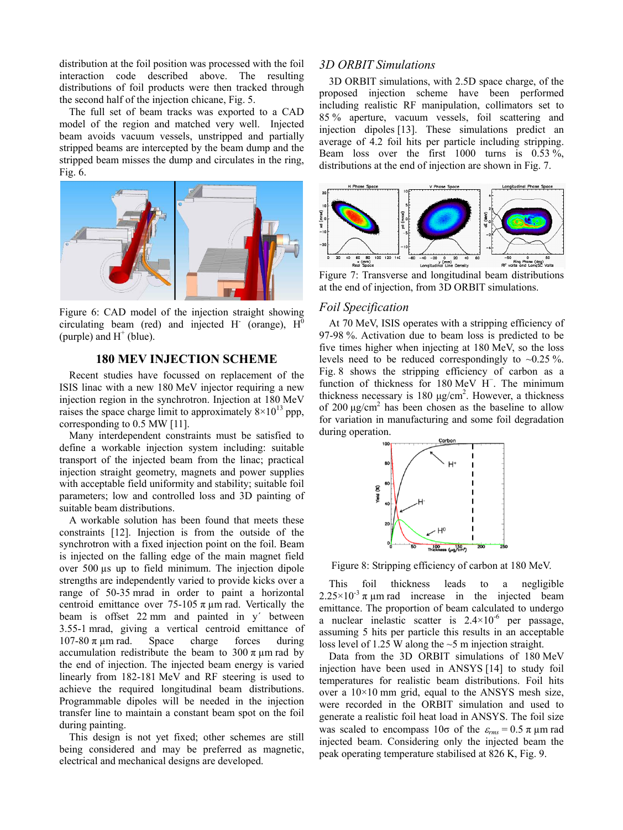distribution at the foil position was processed with the foil interaction code described above. The resulting distributions of foil products were then tracked through the second half of the injection chicane, Fig. 5.

The full set of beam tracks was exported to a CAD model of the region and matched very well. Injected beam avoids vacuum vessels, unstripped and partially stripped beams are intercepted by the beam dump and the stripped beam misses the dump and circulates in the ring, Fig. 6.



Figure 6: CAD model of the injection straight showing circulating beam (red) and injected H (orange),  $H^0$ (purple) and  $H^+$  (blue).

# **180 MEV INJECTION SCHEME**

Recent studies have focussed on replacement of the ISIS linac with a new 180 MeV injector requiring a new injection region in the synchrotron. Injection at 180 MeV raises the space charge limit to approximately  $8 \times 10^{13}$  ppp, corresponding to 0.5 MW [11].

Many interdependent constraints must be satisfied to define a workable injection system including: suitable transport of the injected beam from the linac; practical injection straight geometry, magnets and power supplies with acceptable field uniformity and stability; suitable foil parameters; low and controlled loss and 3D painting of suitable beam distributions.

A workable solution has been found that meets these constraints [12]. Injection is from the outside of the synchrotron with a fixed injection point on the foil. Beam is injected on the falling edge of the main magnet field over 500 µs up to field minimum. The injection dipole strengths are independently varied to provide kicks over a range of 50-35 mrad in order to paint a horizontal centroid emittance over 75-105  $\pi$  µm rad. Vertically the beam is offset 22 mm and painted in y´ between 3.55-1 mrad, giving a vertical centroid emittance of 107-80 π μm rad. Space charge forces during accumulation redistribute the beam to  $300 \pi \mu m$  rad by the end of injection. The injected beam energy is varied linearly from 182-181 MeV and RF steering is used to achieve the required longitudinal beam distributions. Programmable dipoles will be needed in the injection transfer line to maintain a constant beam spot on the foil during painting.

This design is not yet fixed; other schemes are still being considered and may be preferred as magnetic, electrical and mechanical designs are developed.

# *3D ORBIT Simulations*

3D ORBIT simulations, with 2.5D space charge, of the proposed injection scheme have been performed including realistic RF manipulation, collimators set to 85 % aperture, vacuum vessels, foil scattering and injection dipoles [13]. These simulations predict an average of 4.2 foil hits per particle including stripping. Beam loss over the first  $1000$  turns is  $0.53\%$ , distributions at the end of injection are shown in Fig. 7.



Figure 7: Transverse and longitudinal beam distributions at the end of injection, from 3D ORBIT simulations.

### *Foil Specification*

At 70 MeV, ISIS operates with a stripping efficiency of 97-98 %. Activation due to beam loss is predicted to be five times higher when injecting at 180 MeV, so the loss levels need to be reduced correspondingly to  $\sim 0.25\%$ . Fig. 8 shows the stripping efficiency of carbon as a function of thickness for 180 MeV H<sup>−</sup> . The minimum thickness necessary is 180  $\mu$ g/cm<sup>2</sup>. However, a thickness of 200  $\mu$ g/cm<sup>2</sup> has been chosen as the baseline to allow for variation in manufacturing and some foil degradation during operation.



Figure 8: Stripping efficiency of carbon at 180 MeV.

This foil thickness leads to a negligible  $2.25 \times 10^{-3} \pi$  µm rad increase in the injected beam emittance. The proportion of beam calculated to undergo a nuclear inelastic scatter is  $2.4 \times 10^{-6}$  per passage, assuming 5 hits per particle this results in an acceptable loss level of 1.25 W along the  $\sim$ 5 m injection straight.

Data from the 3D ORBIT simulations of 180 MeV injection have been used in ANSYS [14] to study foil temperatures for realistic beam distributions. Foil hits over a  $10\times10$  mm grid, equal to the ANSYS mesh size, were recorded in the ORBIT simulation and used to generate a realistic foil heat load in ANSYS. The foil size was scaled to encompass  $10\sigma$  of the  $\varepsilon_{rms} = 0.5 \pi \mu m$  rad injected beam. Considering only the injected beam the peak operating temperature stabilised at 826 K, Fig. 9.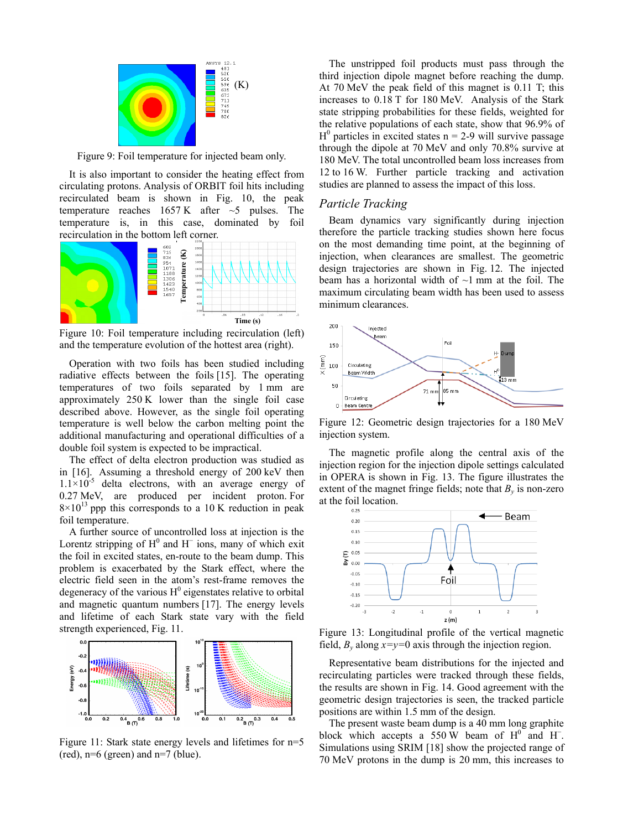

Figure 9: Foil temperature for injected beam only.

It is also important to consider the heating effect from circulating protons. Analysis of ORBIT foil hits including recirculated beam is shown in Fig. 10, the peak temperature reaches  $1657 \text{ K}$  after  $\sim$ 5 pulses. The temperature is, in this case, dominated by foil recirculation in the bottom left corner.



Figure 10: Foil temperature including recirculation (left) and the temperature evolution of the hottest area (right).

Operation with two foils has been studied including radiative effects between the foils [15]. The operating temperatures of two foils separated by 1 mm are approximately 250 K lower than the single foil case described above. However, as the single foil operating temperature is well below the carbon melting point the additional manufacturing and operational difficulties of a double foil system is expected to be impractical.

The effect of delta electron production was studied as in [16]. Assuming a threshold energy of 200 keV then  $1.1\times10^{-5}$  delta electrons, with an average energy of 0.27 MeV, are produced per incident proton. For  $8\times10^{13}$  ppp this corresponds to a 10 K reduction in peak foil temperature.

A further source of uncontrolled loss at injection is the Lorentz stripping of  $H^0$  and  $H^-$  ions, many of which exit the foil in excited states, en-route to the beam dump. This problem is exacerbated by the Stark effect, where the electric field seen in the atom's rest-frame removes the degeneracy of the various  $H^0$  eigenstates relative to orbital and magnetic quantum numbers [17]. The energy levels and lifetime of each Stark state vary with the field strength experienced, Fig. 11.



Figure 11: Stark state energy levels and lifetimes for n=5  $(\text{red})$ , n=6 (green) and n=7 (blue).

The unstripped foil products must pass through the third injection dipole magnet before reaching the dump. At 70 MeV the peak field of this magnet is 0.11 T; this increases to 0.18 T for 180 MeV. Analysis of the Stark state stripping probabilities for these fields, weighted for the relative populations of each state, show that 96.9% of  $H^0$  particles in excited states n = 2-9 will survive passage through the dipole at 70 MeV and only 70.8% survive at 180 MeV. The total uncontrolled beam loss increases from 12 to 16 W. Further particle tracking and activation studies are planned to assess the impact of this loss.

### *Particle Tracking*

Beam dynamics vary significantly during injection therefore the particle tracking studies shown here focus on the most demanding time point, at the beginning of injection, when clearances are smallest. The geometric design trajectories are shown in Fig. 12. The injected beam has a horizontal width of  $\sim$ 1 mm at the foil. The maximum circulating beam width has been used to assess minimum clearances.



Figure 12: Geometric design trajectories for a 180 MeV injection system.

The magnetic profile along the central axis of the injection region for the injection dipole settings calculated in OPERA is shown in Fig. 13. The figure illustrates the extent of the magnet fringe fields; note that  $B<sub>v</sub>$  is non-zero at the foil location.



Figure 13: Longitudinal profile of the vertical magnetic field,  $B_v$  along  $x=y=0$  axis through the injection region.

Representative beam distributions for the injected and recirculating particles were tracked through these fields, the results are shown in Fig. 14. Good agreement with the geometric design trajectories is seen, the tracked particle positions are within 1.5 mm of the design.

The present waste beam dump is a 40 mm long graphite block which accepts a 550 W beam of  $H^0$  and H<sup>-</sup>. Simulations using SRIM [18] show the projected range of 70 MeV protons in the dump is 20 mm, this increases to